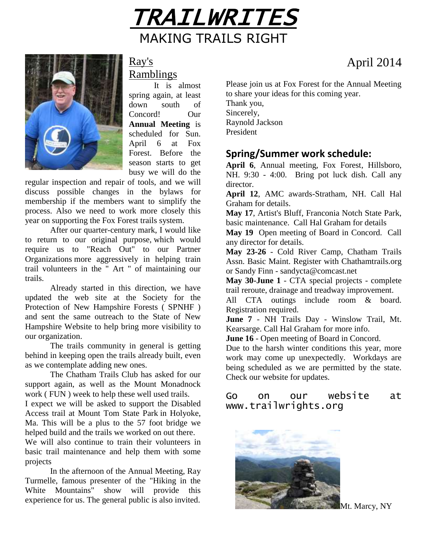



## Ray's Ramblings

It is almost spring again, at least down south of Concord! Our **Annual Meeting** is scheduled for Sun. April 6 at Fox Forest. Before the season starts to get busy we will do the

regular inspection and repair of tools, and we will discuss possible changes in the bylaws for membership if the members want to simplify the process. Also we need to work more closely this year on supporting the Fox Forest trails system.

After our quarter-century mark, I would like to return to our original purpose, which would require us to "Reach Out" to our Partner Organizations more aggressively in helping train trail volunteers in the " Art " of maintaining our trails.

Already started in this direction, we have updated the web site at the Society for the Protection of New Hampshire Forests ( SPNHF ) and sent the same outreach to the State of New Hampshire Website to help bring more visibility to our organization.

The trails community in general is getting behind in keeping open the trails already built, even as we contemplate adding new ones.

The Chatham Trails Club has asked for our support again, as well as the Mount Monadnock work ( FUN ) week to help these well used trails.

I expect we will be asked to support the Disabled Access trail at Mount Tom State Park in Holyoke, Ma. This will be a plus to the 57 foot bridge we helped build and the trails we worked on out there.

We will also continue to train their volunteers in basic trail maintenance and help them with some projects

In the afternoon of the Annual Meeting, Ray Turmelle, famous presenter of the "Hiking in the White Mountains" show will provide this show will provide this experience for us. The general public is also invited.

Please join us at Fox Forest for the Annual Meeting to share your ideas for this coming year.

Thank you, Sincerely, Raynold Jackson President

## **Spring/Summer work schedule:**

**April 6**, Annual meeting, Fox Forest, Hillsboro, NH. 9:30 - 4:00. Bring pot luck dish. Call any director.

**April 12**, AMC awards-Stratham, NH. Call Hal Graham for details.

**May 17**, Artist's Bluff, Franconia Notch State Park, basic maintenance. Call Hal Graham for details

**May 19** Open meeting of Board in Concord. Call any director for details.

**May 23-26** - Cold River Camp, Chatham Trails Assn. Basic Maint. Register with Chathamtrails.org or Sandy Finn - sandycta@comcast.net

**May 30-June 1** - CTA special projects - complete trail reroute, drainage and treadway improvement.

All CTA outings include room & board. Registration required.

**June 7** - NH Trails Day - Winslow Trail, Mt. Kearsarge. Call Hal Graham for more info.

**June 16** - Open meeting of Board in Concord.

Due to the harsh winter conditions this year, more work may come up unexpectedly. Workdays are being scheduled as we are permitted by the state. Check our website for updates.

### Go on our website at www.trailwrights.org



Mt. Marcy, NY

# April 2014